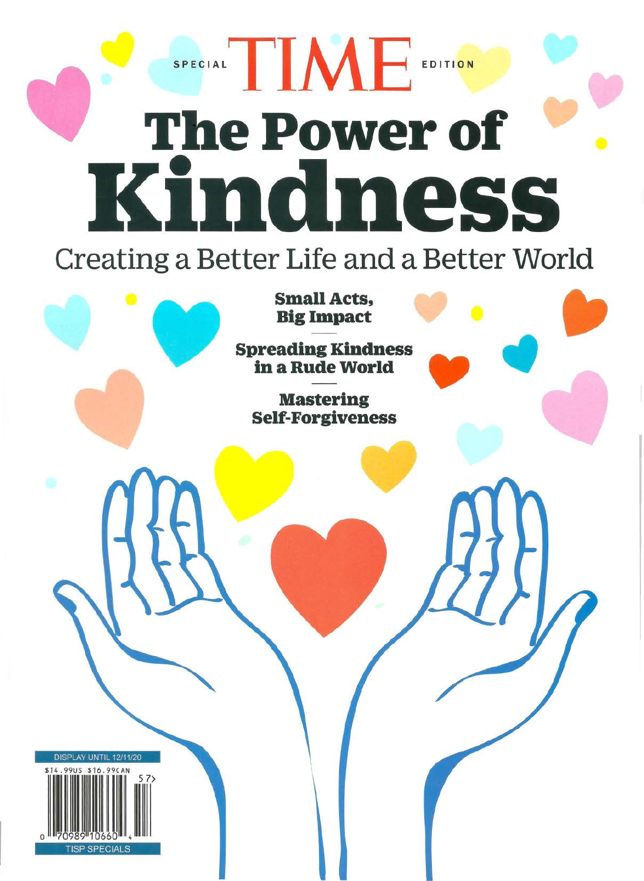